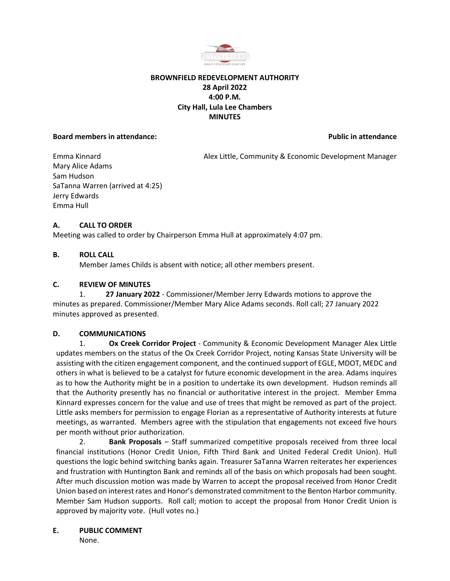

## **BROWNFIELD REDEVELOPMENT AUTHORITY 28 April 2022 4:00 P.M. City Hall, Lula Lee Chambers MINUTES**

#### **Board members in attendance: Public in attendance Public in attendance**

Emma Kinnard **Alex Little, Community & Economic Development Manager** Alex Little, Community & Economic Development Manager Mary Alice Adams Sam Hudson SaTanna Warren (arrived at 4:25) Jerry Edwards Emma Hull

## **A. CALL TO ORDER**

Meeting was called to order by Chairperson Emma Hull at approximately 4:07 pm.

## **B. ROLL CALL**

Member James Childs is absent with notice; all other members present.

## **C. REVIEW OF MINUTES**

1. **27 January 2022** - Commissioner/Member Jerry Edwards motions to approve the minutes as prepared. Commissioner/Member Mary Alice Adams seconds. Roll call; 27 January 2022 minutes approved as presented.

### **D. COMMUNICATIONS**

1. **Ox Creek Corridor Project** - Community & Economic Development Manager Alex Little updates members on the status of the Ox Creek Corridor Project, noting Kansas State University will be assisting with the citizen engagement component, and the continued support of EGLE, MDOT, MEDC and others in what is believed to be a catalyst for future economic development in the area. Adams inquires as to how the Authority might be in a position to undertake its own development. Hudson reminds all that the Authority presently has no financial or authoritative interest in the project. Member Emma Kinnard expresses concern for the value and use of trees that might be removed as part of the project. Little asks members for permission to engage Florian as a representative of Authority interests at future meetings, as warranted. Members agree with the stipulation that engagements not exceed five hours per month without prior authorization.

2. **Bank Proposals** – Staff summarized competitive proposals received from three local financial institutions (Honor Credit Union, Fifth Third Bank and United Federal Credit Union). Hull questions the logic behind switching banks again. Treasurer SaTanna Warren reiterates her experiences and frustration with Huntington Bank and reminds all of the basis on which proposals had been sought. After much discussion motion was made by Warren to accept the proposal received from Honor Credit Union based on interest rates and Honor's demonstrated commitment to the Benton Harbor community. Member Sam Hudson supports. Roll call; motion to accept the proposal from Honor Credit Union is approved by majority vote. (Hull votes no.)

### **E. PUBLIC COMMENT**

None.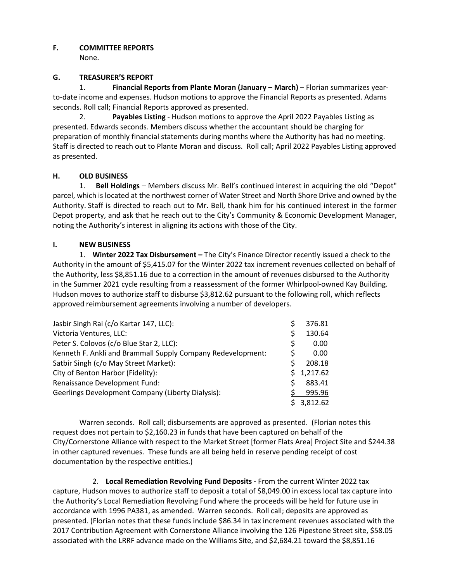# **F. COMMITTEE REPORTS**

None.

# **G. TREASURER'S REPORT**

1. **Financial Reports from Plante Moran (January – March)** – Florian summarizes yearto-date income and expenses. Hudson motions to approve the Financial Reports as presented. Adams seconds. Roll call; Financial Reports approved as presented.

2. **Payables Listing** - Hudson motions to approve the April 2022 Payables Listing as presented. Edwards seconds. Members discuss whether the accountant should be charging for preparation of monthly financial statements during months where the Authority has had no meeting. Staff is directed to reach out to Plante Moran and discuss. Roll call; April 2022 Payables Listing approved as presented.

# **H. OLD BUSINESS**

1. **Bell Holdings** – Members discuss Mr. Bell's continued interest in acquiring the old "Depot" parcel, which is located at the northwest corner of Water Street and North Shore Drive and owned by the Authority. Staff is directed to reach out to Mr. Bell, thank him for his continued interest in the former Depot property, and ask that he reach out to the City's Community & Economic Development Manager, noting the Authority's interest in aligning its actions with those of the City.

## **I. NEW BUSINESS**

1. **Winter 2022 Tax Disbursement –** The City's Finance Director recently issued a check to the Authority in the amount of \$5,415.07 for the Winter 2022 tax increment revenues collected on behalf of the Authority, less \$8,851.16 due to a correction in the amount of revenues disbursed to the Authority in the Summer 2021 cycle resulting from a reassessment of the former Whirlpool-owned Kay Building. Hudson moves to authorize staff to disburse \$3,812.62 pursuant to the following roll, which reflects approved reimbursement agreements involving a number of developers.

| Jasbir Singh Rai (c/o Kartar 147, LLC):                     |    | 376.81     |
|-------------------------------------------------------------|----|------------|
| Victoria Ventures, LLC:                                     |    | 130.64     |
| Peter S. Colovos (c/o Blue Star 2, LLC):                    | S  | 0.00       |
| Kenneth F. Ankli and Brammall Supply Company Redevelopment: |    | 0.00       |
| Satbir Singh (c/o May Street Market):                       |    | 208.18     |
| City of Benton Harbor (Fidelity):                           | S. | 1,217.62   |
| Renaissance Development Fund:                               |    | 883.41     |
| Geerlings Development Company (Liberty Dialysis):           |    | 995.96     |
|                                                             |    | \$3,812.62 |

Warren seconds. Roll call; disbursements are approved as presented. (Florian notes this request does not pertain to \$2,160.23 in funds that have been captured on behalf of the City/Cornerstone Alliance with respect to the Market Street [former Flats Area] Project Site and \$244.38 in other captured revenues. These funds are all being held in reserve pending receipt of cost documentation by the respective entities.)

2. **Local Remediation Revolving Fund Deposits -** From the current Winter 2022 tax capture, Hudson moves to authorize staff to deposit a total of \$8,049.00 in excess local tax capture into the Authority's Local Remediation Revolving Fund where the proceeds will be held for future use in accordance with 1996 PA381, as amended. Warren seconds. Roll call; deposits are approved as presented. (Florian notes that these funds include \$86.34 in tax increment revenues associated with the 2017 Contribution Agreement with Cornerstone Alliance involving the 126 Pipestone Street site, \$58.05 associated with the LRRF advance made on the Williams Site, and \$2,684.21 toward the \$8,851.16